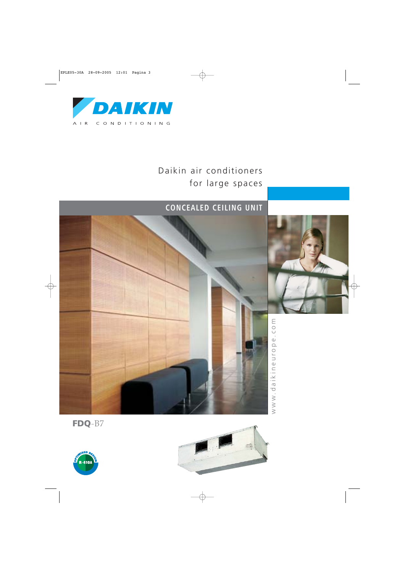

# Daikin air conditioners for large spaces

# **CONCEALED CEILING UNIT**





www.daikineurope.com www.daikineurope.com

**FDQ**-B7



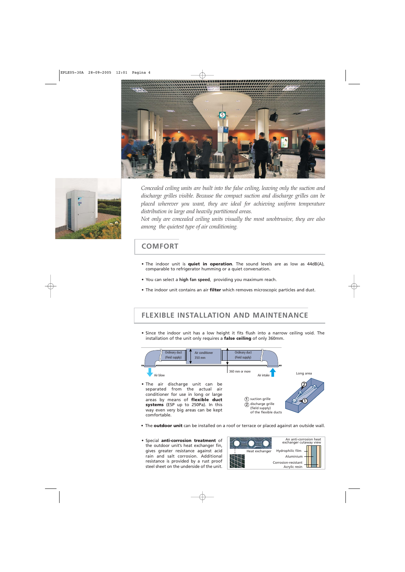



*Concealed ceiling units are built into the false ceiling, leaving only the suction and discharge grilles visible. Because the compact suction and discharge grilles can be placed wherever you want, they are ideal for achieving uniform temperature distribution in large and heavily partitioned areas.*

*Not only are concealed ceiling units visually the most unobtrusive, they are also among the quietest type of air conditioning.*

#### **COMFORT**

- The indoor unit is **quiet in operation**. The sound levels are as low as 44dB(A), comparable to refrigerator humming or a quiet conversation.
- You can select a **high fan speed**, providing you maximum reach.
- The indoor unit contains an air **filter** which removes microscopic particles and dust.

#### **FLEXIBLE INSTALLATION AND MAINTENANCE**

• Since the indoor unit has a low height it fits flush into a narrow ceiling void. The installation of the unit only requires a **false ceiling** of only 360mm.



- The **outdoor unit** can be installed on a roof or terrace or placed against an outside wall.
- Special **anti-corrosion treatment** of the outdoor unit's heat exchanger fin, gives greater resistance against acid rain and salt corrosion. Additional resistance is provided by a rust proof steel sheet on the underside of the unit.

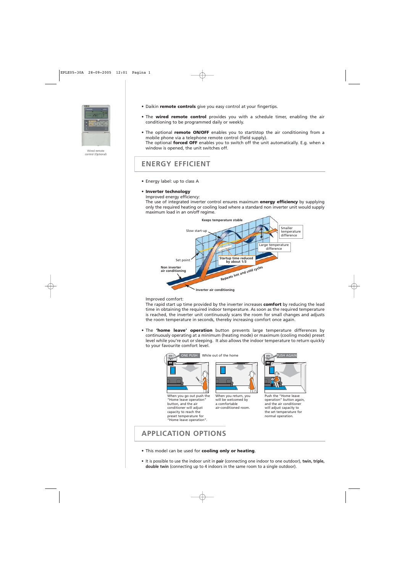

Wired remote control (Optional)

- Daikin **remote controls** give you easy control at your fingertips.
- The **wired remote control** provides you with a schedule timer, enabling the air conditioning to be programmed daily or weekly.
- The optional **remote ON/OFF** enables you to start/stop the air conditioning from a mobile phone via a telephone remote control (field supply). The optional **forced OFF** enables you to switch off the unit automatically. E.g. when a window is opened, the unit switches off.

#### **ENERGY EFFICIENT**

- Energy label: up to class A
- **Inverter technology**
	- Improved energy efficiency:

The use of integrated inverter control ensures maximum **energy efficiency** by supplying only the required heating or cooling load where a standard non inverter unit would supply maximum load in an on/off regime.



#### Improved comfort:

The rapid start up time provided by the inverter increases **comfort** by reducing the lead time in obtaining the required indoor temperature. As soon as the required temperature is reached, the inverter unit continuously scans the room for small changes and adjusts the room temperature in seconds, thereby increasing comfort once again.

• The **'home leave' operation** button prevents large temperature differences by continuously operating at a minimum (heating mode) or maximum (cooling mode) preset level while you're out or sleeping. It also allows the indoor temperature to return quickly to your favourite comfort level.



#### **APPLICATION OPTIONS**

- This model can be used for **cooling only or heating**.
- It is possible to use the indoor unit in **pair** (connecting one indoor to one outdoor), **twin, triple, double twin** (connecting up to 4 indoors in the same room to a single outdoor).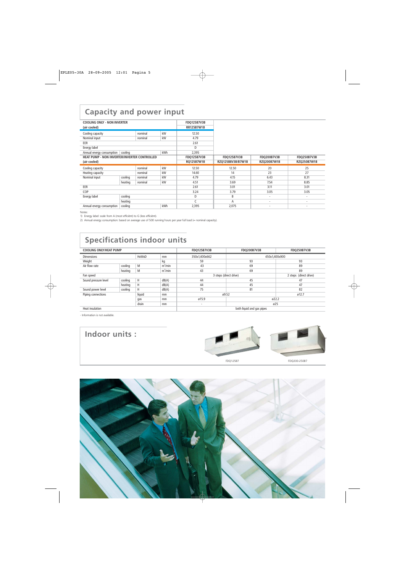## **Capacity and power input**

| <b>COOLING ONLY - NON INVERTER</b>           |         |         |                   | <b>FDQ125B7V3B</b> |                    |                    |                    |
|----------------------------------------------|---------|---------|-------------------|--------------------|--------------------|--------------------|--------------------|
| (air cooled)                                 |         |         | <b>RR125B7W1B</b> |                    |                    |                    |                    |
| Cooling capacity                             |         | nominal | kW                | 12.50              |                    |                    |                    |
| kW<br>Nominal input<br>nominal               |         |         | 4.79              |                    |                    |                    |                    |
| EER                                          |         |         |                   | 2.61               |                    |                    |                    |
| Energy label                                 |         |         |                   | D                  |                    |                    |                    |
| Annual energy consumption                    | cooling |         | kWh               | 2,395              |                    |                    |                    |
| HEAT PUMP - NON INVERTER/INVERTER CONTROLLED |         |         |                   | <b>FDQ125B7V3B</b> | <b>FDQ125B7V3B</b> | <b>FDQ200B7V3B</b> | <b>FDQ250B7V3B</b> |
| (air cooled)                                 |         |         | <b>RQ125B7W1B</b> | RZQ125B8V3B/B7W1B  | RZQ200B7W1B        | RZQ250B7W1B        |                    |
|                                              |         |         |                   |                    |                    |                    |                    |
| Cooling capacity                             |         | nominal | kW                | 12.50              | 12.50              | 20                 | 25                 |
| Heating capacity                             |         | nominal | kW                | 14.60              | 14                 | 23                 | 27                 |
| Nominal input                                | cooling | nominal | kW                | 4.79               | 4.15               | 6.43               | 8.31               |
|                                              | heating | nominal | kW                | 4.51               | 3.69               | 7.54               | 8.85               |
| EER                                          |         |         |                   | 2.61               | 3.01               | 3.11               | 3.01               |
| COP                                          |         |         |                   | 3.24               | 3.79               | 3.05               | 3.05               |
| Energy label                                 | cooling |         |                   | D                  | B                  | $\sim$             | ۰                  |
|                                              | heating |         |                   |                    | A                  | ٠                  | ۰                  |

Notes:

1) Energy label: scale from A (most efficiënt) to G (less efficiënt).

2) Annual energy consumption: based on average use of 500 running hours per year full load (= nominal capacity).

# **Specifications indoor units**

| <b>COOLING ONLY/HEAT PUMP</b>     |         |        |               | <b>FDQ125B7V3B</b>        | <b>FDO200B7V3B</b> | <b>FDQ250B7V3B</b>     |  |
|-----------------------------------|---------|--------|---------------|---------------------------|--------------------|------------------------|--|
| <b>HxWxD</b><br><b>Dimensions</b> |         | mm     | 350x1,400x662 | 450x1,400x900             |                    |                        |  |
| Weight                            |         |        | kg            | 59                        | 93                 | 93                     |  |
| Air flow rate                     | cooling | M      | $m^3/m$ in    | 43                        | 69                 | 89                     |  |
|                                   | heating | M      | $m^3/m$ in    | 43                        | 69                 | 89                     |  |
| Fan speed                         |         |        |               | 3 steps (direct drive)    |                    | 2 steps (direct drive) |  |
| Sound pressure level              | cooling | H      | dB(A)         | 44                        | 45                 | 47                     |  |
|                                   | heating | H      | dB(A)         | 44                        | 45                 | 47                     |  |
| Sound power level                 | cooling | H      | dB(A)         | 75                        | 81                 | 82                     |  |
| Piping connections                |         | liquid | mm            | ø9.52                     |                    | ø12.7                  |  |
| gas                               |         |        | mm            | ø15.9                     | 022.2              |                        |  |
| drain<br>mm                       |         |        |               | $\overline{a}$            | ø25                |                        |  |
| Heat insulation                   |         |        |               | both liquid and gas pipes |                    |                        |  |

- Information is not available.

**Indoor units :**





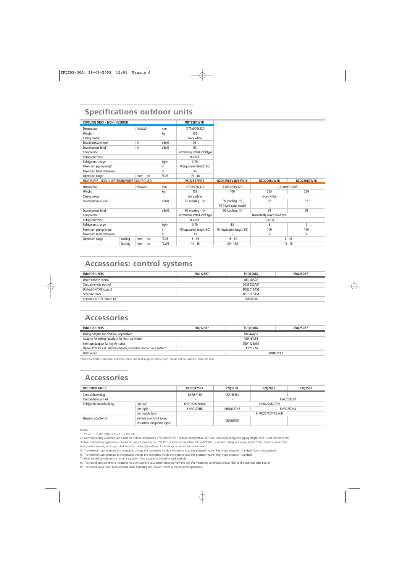## **Specifications outdoor units**

| <b>COOLING ONLY - NON INVERTER</b>           |         |                | <b>RR125B7W1B</b> |                                 |                           |                                 |     |
|----------------------------------------------|---------|----------------|-------------------|---------------------------------|---------------------------|---------------------------------|-----|
| <b>Dimensions</b>                            |         | <b>HxWxD</b>   | mm                | 1.170x900x320                   |                           |                                 |     |
| kg<br>Weight                                 |         | 106            |                   |                                 |                           |                                 |     |
| Casing colour                                |         |                | Ivory white       |                                 |                           |                                 |     |
| Sound pressure level                         |         | H              | dB(A)             | 53                              |                           |                                 |     |
| Sound power level                            |         | H              | dB(A)             | 67                              |                           |                                 |     |
| Compressor                                   |         |                |                   | Hermatically scaled scroll type |                           |                                 |     |
| Refrigerant type                             |         |                |                   | R-410A                          |                           |                                 |     |
| Refrigerant charge                           |         |                | kg/m              | 3.70                            |                           |                                 |     |
| Maximum piping length                        |         |                | m                 | 70(equivalent length 90)        |                           |                                 |     |
| Maximum level difference                     |         |                | m                 | 30                              |                           |                                 |     |
| Operation range                              |         | from $\sim$ to | °CDB              | $-15 - 46$                      |                           |                                 |     |
| HEAT PUMP - NON INVERTER/INVERTER CONTROLLED |         |                | RQ125B7W1B        | RZQ125B8V3B/B7W1B               | RZQ200B7W1B               | RZQ250B7W1B                     |     |
|                                              |         |                |                   |                                 |                           |                                 |     |
| <b>Dimensions</b>                            |         | <b>HxWxD</b>   | mm                | 1.170x900x320                   | 1.345x900x320             | 1,600x930x765                   |     |
| Weight                                       |         |                | kg                | 108                             | 106                       | 225                             | 226 |
| Casing colour                                |         |                |                   | Ivory white                     |                           | Ivory white                     |     |
| Sound pressure level                         |         |                | dB(A)             | 53 (cooling - H)                | 50 (cooling - H)          | 57                              | 57  |
|                                              |         |                |                   |                                 | 45 (night quiet mode)     |                                 |     |
| Sound power level                            |         |                | dB(A)             | 67 (cooling - H)                | 66 (cooling - H)          | 78                              | 78  |
| Compressor                                   |         |                |                   | Hermatically scaled scroll type |                           | Hermatically scaled scroll type |     |
| Refrigerant type                             |         |                |                   | R-410A                          |                           | R-410A                          |     |
| Refrigerant charge                           |         |                | kg/m              | 3.70                            | 4.3                       | 8                               | 9   |
| Maximum piping length                        |         |                | m                 | 70(equivalent length 90)        | 75 (equivalent length 95) | 100                             | 100 |
| Maximum level difference                     |         |                | m                 | 30                              | 5                         | 30                              | 30  |
| Operation range                              | cooling | from $\sim$ to | °CDB              | $-5 - 46$                       | $-15 - 50$                | $-5 - 46$                       |     |

### **Accessories: control systems**

| <b>INDOOR UNITS</b>       | <b>FD0125B7</b> | <b>FDO200B7</b> | <b>FDO250B7</b> |  |  |
|---------------------------|-----------------|-----------------|-----------------|--|--|
| Wired remote control      |                 | <b>BRC1D528</b> |                 |  |  |
| Central remote control    |                 | DCS302CA51      |                 |  |  |
| Unified ON/OFF control    | DCS301BA51      |                 |                 |  |  |
| Schedule timer            | DST301BA51      |                 |                 |  |  |
| Remote ON/OFF, forced OFF |                 | EKROROA         |                 |  |  |

### **Accessories**

| <b>INDOOR UNITS</b>                                                  | <b>FDO200B7</b><br><b>FD0125B7</b> |          | <b>FDO250B7</b> |  |  |
|----------------------------------------------------------------------|------------------------------------|----------|-----------------|--|--|
| Wiring adapter for electrical appendices                             | KRP4AA51                           |          |                 |  |  |
| Adapter for wiring (interlock for fresh air intake)                  | KRP1BA54                           |          |                 |  |  |
| Interface adapter for Sky Air series                                 | DTA112BA51                         |          |                 |  |  |
| Option PCB for ext. electrical heater, humidifier and/or hour meter* |                                    | EKRP1B2A |                 |  |  |
| Drain pump                                                           |                                    |          | EKDU125A1       |  |  |
|                                                                      |                                    |          |                 |  |  |

\* Electrical heater, humidifier and hour meter are field supplied. These parts should not be installed inside the unit.

## **Accessories**

| <b>OUTDOOR UNITS</b>                  |                                                      | <b>RR/RO125B7</b> | <b>RZO125B</b>  | <b>RZQ200B</b>    | <b>RZO250B</b> |
|---------------------------------------|------------------------------------------------------|-------------------|-----------------|-------------------|----------------|
| Central drain plug                    |                                                      | KKPJ5F180         | KKPJ5F180       |                   |                |
| Central drain pan kit                 |                                                      |                   |                 | KWC26B280         |                |
| Refrigerant branch piping<br>for twin |                                                      | KHRQ22M20TA8      | KHRO22M20TA8    |                   |                |
| for triple<br>for double twin         |                                                      | KHRO127H8         | KHRQ127H8       |                   | KHRO250H8      |
|                                       |                                                      |                   |                 | KHRQ22M20TA8 (x3) |                |
| Demand adapter kit                    | remote control of sound<br>reduction and power input |                   | <b>KRP58M51</b> |                   |                |

Notes:

1) V1 = 1~, 230V, 50Hz; V3 = 1~, 230V, 50Hz

4) Capacities are net, including a deduction for cooling (an addition for heating) for indoor fan motor heat.

9) The sound power level is an absolute value indicating the "power" which a sound source generated.

<sup>2)</sup> Nominal cooling capacities are based on: indoor temperature 27°CDB/19°CWB • outdoor temperature 35°CDB • equivalent refrigerant piping length 7.5m • level difference 0m.

<sup>3)</sup> Nominal heating capacities are based on: indoor temperature 20°CDB • outdoor temperature 7°CDB/6°CWB • equivalent refrigerant piping length 7.5m • level difference 0m.

<sup>5)</sup> The external static pressure is changeable: change the connectors inside the electrical box, this pressure means "high static pressure - standard - low static pressure".

<sup>6)</sup> The external static pressure is changeable: change the connectors inside the electrical box, this pressure means "high static pressure - standard".

<sup>7)</sup> Units should be selected on nominal capacity. Max. capacity is limited to peak periods.

<sup>8)</sup> The sound pressure level is measured via a microphone at a certain distance from the unit (for measuring conditions: please refer to the technical data books).